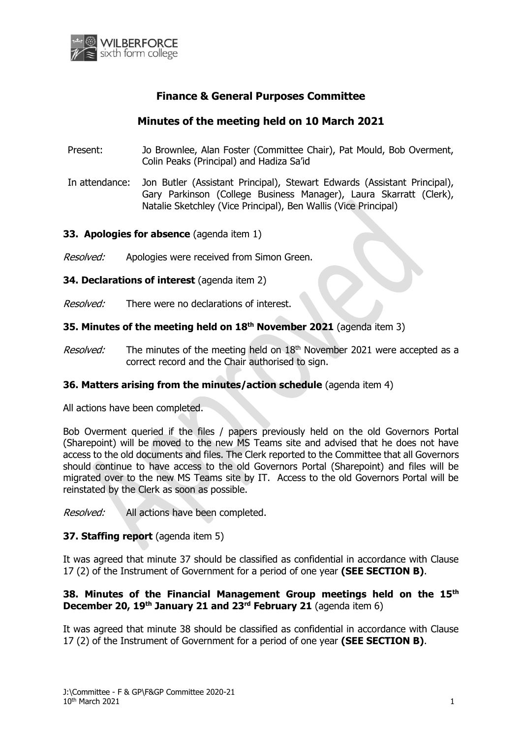

# **Finance & General Purposes Committee**

# **Minutes of the meeting held on 10 March 2021**

- Present: Jo Brownlee, Alan Foster (Committee Chair), Pat Mould, Bob Overment, Colin Peaks (Principal) and Hadiza Sa'id
- In attendance: Jon Butler (Assistant Principal), Stewart Edwards (Assistant Principal), Gary Parkinson (College Business Manager), Laura Skarratt (Clerk), Natalie Sketchley (Vice Principal), Ben Wallis (Vice Principal)

## **33. Apologies for absence** (agenda item 1)

- Resolved: Apologies were received from Simon Green.
- **34. Declarations of interest** (agenda item 2)
- Resolved: There were no declarations of interest.

## **35. Minutes of the meeting held on 18th November 2021** (agenda item 3)

Resolved: The minutes of the meeting held on 18<sup>th</sup> November 2021 were accepted as a correct record and the Chair authorised to sign.

#### **36. Matters arising from the minutes/action schedule** (agenda item 4)

All actions have been completed.

Bob Overment queried if the files / papers previously held on the old Governors Portal (Sharepoint) will be moved to the new MS Teams site and advised that he does not have access to the old documents and files. The Clerk reported to the Committee that all Governors should continue to have access to the old Governors Portal (Sharepoint) and files will be migrated over to the new MS Teams site by IT. Access to the old Governors Portal will be reinstated by the Clerk as soon as possible.

Resolved: All actions have been completed.

#### **37. Staffing report** (agenda item 5)

It was agreed that minute 37 should be classified as confidential in accordance with Clause 17 (2) of the Instrument of Government for a period of one year **(SEE SECTION B)**.

## **38. Minutes of the Financial Management Group meetings held on the 15th December 20, 19th January 21 and 23rd February 21** (agenda item 6)

It was agreed that minute 38 should be classified as confidential in accordance with Clause 17 (2) of the Instrument of Government for a period of one year **(SEE SECTION B)**.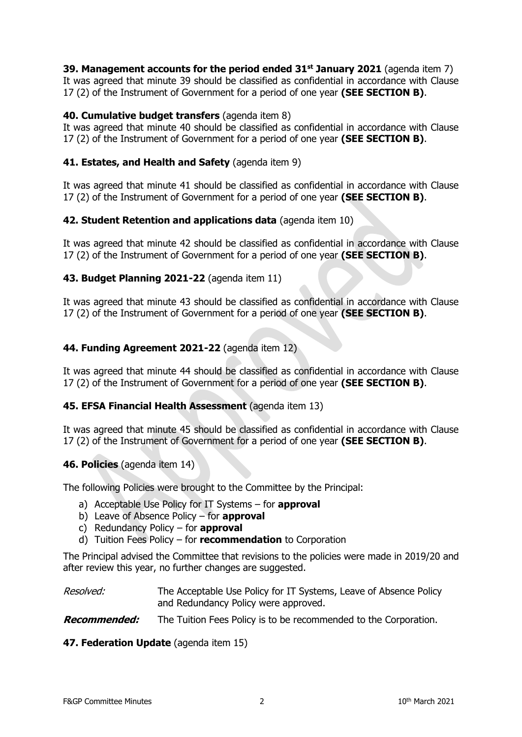**39. Management accounts for the period ended 31st January 2021** (agenda item 7) It was agreed that minute 39 should be classified as confidential in accordance with Clause 17 (2) of the Instrument of Government for a period of one year **(SEE SECTION B)**.

## **40. Cumulative budget transfers** (agenda item 8)

It was agreed that minute 40 should be classified as confidential in accordance with Clause 17 (2) of the Instrument of Government for a period of one year **(SEE SECTION B)**.

## **41. Estates, and Health and Safety** (agenda item 9)

It was agreed that minute 41 should be classified as confidential in accordance with Clause 17 (2) of the Instrument of Government for a period of one year **(SEE SECTION B)**.

## **42. Student Retention and applications data** (agenda item 10)

It was agreed that minute 42 should be classified as confidential in accordance with Clause 17 (2) of the Instrument of Government for a period of one year **(SEE SECTION B)**.

#### **43. Budget Planning 2021-22** (agenda item 11)

It was agreed that minute 43 should be classified as confidential in accordance with Clause 17 (2) of the Instrument of Government for a period of one year **(SEE SECTION B)**.

## **44. Funding Agreement 2021-22** (agenda item 12)

It was agreed that minute 44 should be classified as confidential in accordance with Clause 17 (2) of the Instrument of Government for a period of one year **(SEE SECTION B)**.

#### **45. EFSA Financial Health Assessment** (agenda item 13)

It was agreed that minute 45 should be classified as confidential in accordance with Clause 17 (2) of the Instrument of Government for a period of one year **(SEE SECTION B)**.

#### **46. Policies** (agenda item 14)

The following Policies were brought to the Committee by the Principal:

- a) Acceptable Use Policy for IT Systems for **approval**
- b) Leave of Absence Policy for **approval**
- c) Redundancy Policy for **approval**
- d) Tuition Fees Policy for **recommendation** to Corporation

The Principal advised the Committee that revisions to the policies were made in 2019/20 and after review this year, no further changes are suggested.

#### Resolved: The Acceptable Use Policy for IT Systems, Leave of Absence Policy and Redundancy Policy were approved.

**Recommended:** The Tuition Fees Policy is to be recommended to the Corporation.

#### **47. Federation Update** (agenda item 15)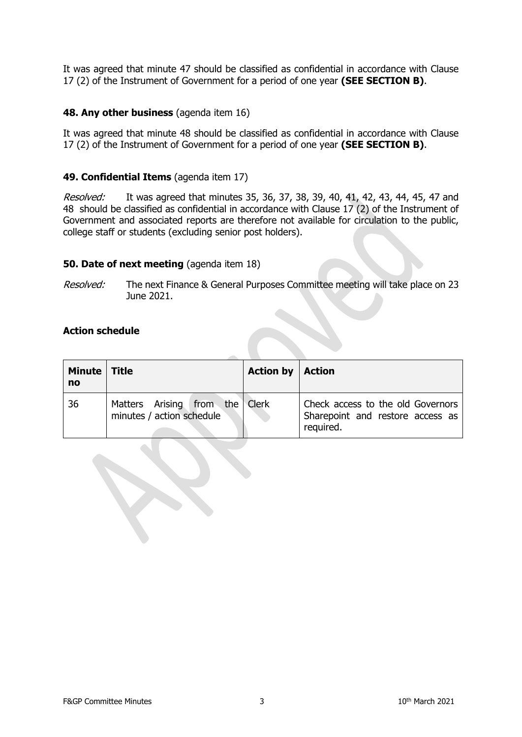It was agreed that minute 47 should be classified as confidential in accordance with Clause 17 (2) of the Instrument of Government for a period of one year **(SEE SECTION B)**.

#### **48. Any other business** (agenda item 16)

It was agreed that minute 48 should be classified as confidential in accordance with Clause 17 (2) of the Instrument of Government for a period of one year **(SEE SECTION B)**.

#### **49. Confidential Items** (agenda item 17)

Resolved: It was agreed that minutes 35, 36, 37, 38, 39, 40, 41, 42, 43, 44, 45, 47 and 48 should be classified as confidential in accordance with Clause 17 (2) of the Instrument of Government and associated reports are therefore not available for circulation to the public, college staff or students (excluding senior post holders).

#### **50. Date of next meeting** (agenda item 18)

Resolved: The next Finance & General Purposes Committee meeting will take place on 23 June 2021.

## **Action schedule**

| Minute   Title<br>no |                                                             | <b>Action by   Action</b> |                                                                                    |
|----------------------|-------------------------------------------------------------|---------------------------|------------------------------------------------------------------------------------|
| 36                   | Matters Arising from the Clerk<br>minutes / action schedule |                           | Check access to the old Governors<br>Sharepoint and restore access as<br>required. |